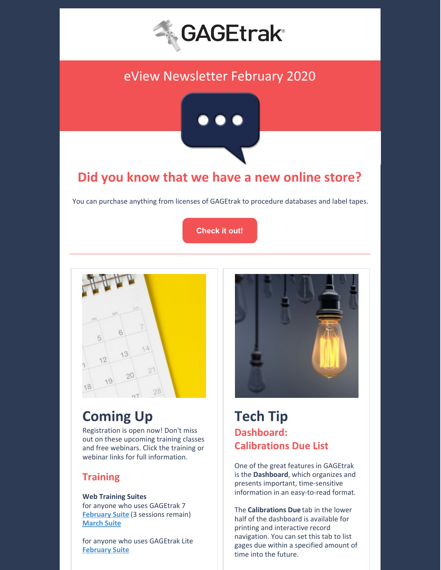

## eView Newsletter February 2020



## **Did you know that we have a new online store?**

You can purchase anything from licenses of GAGEtrak to procedure databases and label tapes.

**[Check](https://cybermetrics.com/shop) it out!**



# **Coming Up**

Registration is open now! Don't miss out on these upcoming training classes and free webinars. Click the training or webinar links for full information.

#### **Training**

**Web Training Suites** for anyone who uses GAGEtrak 7 **[February](https://gagetrak.com/wp-content/uploads/GAGEtrak_Web_Training_Suite_February_2020.pdf) Suite** (3 sessions remain) **[March](https://gagetrak.com/wp-content/uploads/GAGEtrak_Web_Training_Suite_March_2020.pdf) Suite**

for anyone who uses GAGEtrak Lite **[February](https://gagetrak.com/wp-content/uploads/GAGEtrak_Lite_Web_Training_Suite_February_2020.pdf) Suite**



## **Tech Tip Dashboard: Calibrations Due List**

One of the great features in GAGEtrak is the **Dashboard**, which organizes and presents important, time-sensitive information in an easy-to-read format.

The **Calibrations Due** tab in the lower half of the dashboard is available for printing and interactive record navigation. You can set this tab to list gages due within a specified amount of time into the future.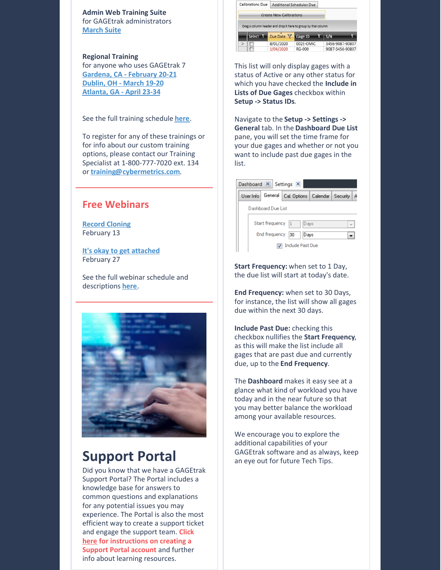**Admin Web Training Suite** for GAGEtrak administrators **[March](https://gagetrak.com/wp-content/uploads/GAGEtrak_Admin_Web_Training_Suite_March_2020.pdf) Suite**

**Regional Training** for anyone who uses GAGEtrak 7 **[Gardena,](https://gagetrak.com/wp-content/uploads/GAGEtrak_Training_Gardena_v7_February_2020.pdf) CA - February 20-21 [Dublin,](https://gagetrak.com/wp-content/uploads/GAGEtrak_Training_Dublin_v7_March_2020.pdf) OH - March 19-20 [Atlanta,](https://gagetrak.com/wp-content/uploads/GAGEtrak_Training_Atlanta_v7_April_2020.pdf) GA - April 23-34**

See the full training schedule **[here](https://gagetrak.com/training-schedule/)**.

To register for any of these trainings or for info about our custom training options, please contact our Training Specialist at 1-800-777-7020 ext. 134 or **[training@cybermetrics.com](mailto:training@cybermetrics.com)**.

#### **Free Webinars**

**Record [Cloning](https://attendee.gotowebinar.com/register/3152001173945098508)** February 13

**It's okay to get [attached](https://attendee.gotowebinar.com/register/5198475987236242188)** February 27

See the full webinar schedule and descriptions **[here](https://gagetrak.com/webinars/)**.



### **Support Portal**

Did you know that we have a GAGEtrak Support Portal? The Portal includes a knowledge base for answers to common questions and explanations for any potential issues you may experience. The Portal is also the most efficient way to create a support ticket and engage the support team. **Click [here](https://gagetrak.com/wp-content/uploads/GAGEtrak_Learning_Resources_and_Support.pdf) for instructions on creating a Support Portal account** and further info about learning resources.

| <b>Calibrations Due</b> | <b>Additional Schedules Due</b> |                                                               |                 |  |
|-------------------------|---------------------------------|---------------------------------------------------------------|-----------------|--|
|                         | <b>Create New Calibrations</b>  |                                                               |                 |  |
|                         |                                 |                                                               |                 |  |
|                         |                                 | Drag a column header and drop it here to group by that column |                 |  |
| Select <sup>T</sup>     | Due Date Y                      | Gage ID                                                       | S/N             |  |
|                         | 8/01/2020                       | 002E-OMIC                                                     | 3456-9087-90807 |  |

This list will only display gages with a status of Active or any other status for which you have checked the **Include in Lists of Due Gages** checkbox within **Setup -> Status IDs**.

Navigate to the **Setup -> Settings -> General** tab. In the **Dashboard Due List** pane, you will set the time frame for your due gages and whether or not you want to include past due gages in the list.

| Dashboard X Settings X                  |                             |                                    |  |   |  |  |  |  |  |
|-----------------------------------------|-----------------------------|------------------------------------|--|---|--|--|--|--|--|
| User Info                               | General                     | Cal. Options   Calendar   Security |  | A |  |  |  |  |  |
| Dashboard Due List                      |                             |                                    |  |   |  |  |  |  |  |
| Start frequency<br>$\mathbf{1}$<br>Days |                             |                                    |  |   |  |  |  |  |  |
|                                         | End frequency<br>Days<br>30 |                                    |  |   |  |  |  |  |  |
| <b>Include Past Due</b>                 |                             |                                    |  |   |  |  |  |  |  |

**Start Frequency:** when set to 1 Day, the due list will start at today's date.

**End Frequency:** when set to 30 Days, for instance, the list will show all gages due within the next 30 days.

**Include Past Due:** checking this checkbox nullifies the **Start Frequency**, as this will make the list include all gages that are past due and currently due, up to the **End Frequency**.

The **Dashboard** makes it easy see at a glance what kind of workload you have today and in the near future so that you may better balance the workload among your available resources.

We encourage you to explore the additional capabilities of your GAGEtrak software and as always, keep an eye out for future Tech Tips.